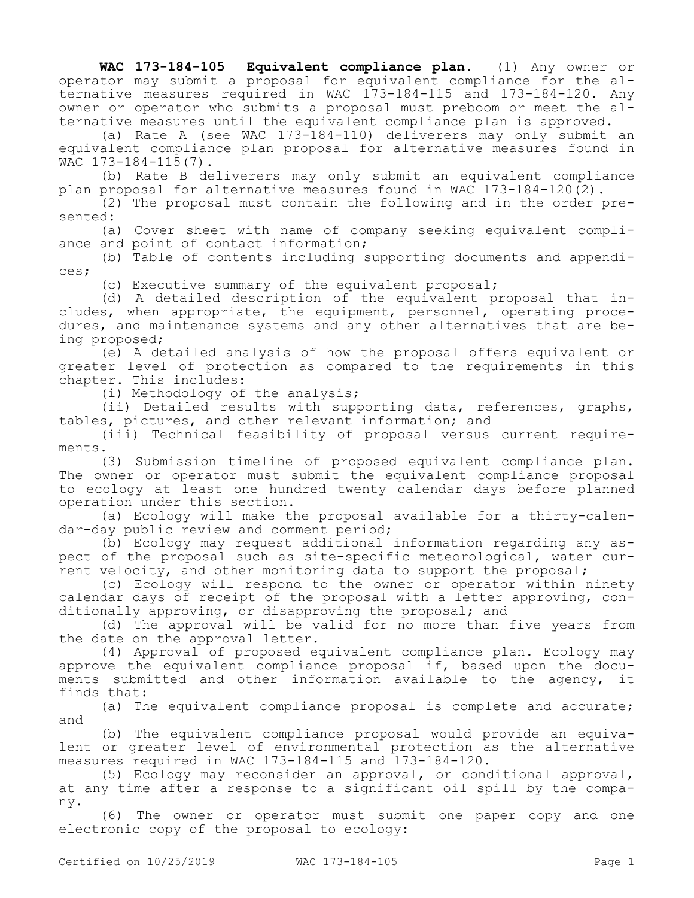**WAC 173-184-105 Equivalent compliance plan.** (1) Any owner or operator may submit a proposal for equivalent compliance for the alternative measures required in WAC 173-184-115 and 173-184-120. Any owner or operator who submits a proposal must preboom or meet the alternative measures until the equivalent compliance plan is approved.

(a) Rate A (see WAC 173-184-110) deliverers may only submit an equivalent compliance plan proposal for alternative measures found in WAC 173-184-115(7).

(b) Rate B deliverers may only submit an equivalent compliance plan proposal for alternative measures found in WAC 173-184-120(2).

(2) The proposal must contain the following and in the order presented:

(a) Cover sheet with name of company seeking equivalent compliance and point of contact information;

(b) Table of contents including supporting documents and appendices;

(c) Executive summary of the equivalent proposal;

(d) A detailed description of the equivalent proposal that includes, when appropriate, the equipment, personnel, operating procedures, and maintenance systems and any other alternatives that are being proposed;

(e) A detailed analysis of how the proposal offers equivalent or greater level of protection as compared to the requirements in this chapter. This includes:

(i) Methodology of the analysis;

(ii) Detailed results with supporting data, references, graphs, tables, pictures, and other relevant information; and

(iii) Technical feasibility of proposal versus current requirements.

(3) Submission timeline of proposed equivalent compliance plan. The owner or operator must submit the equivalent compliance proposal to ecology at least one hundred twenty calendar days before planned operation under this section.

(a) Ecology will make the proposal available for a thirty-calendar-day public review and comment period;

(b) Ecology may request additional information regarding any aspect of the proposal such as site-specific meteorological, water current velocity, and other monitoring data to support the proposal;

(c) Ecology will respond to the owner or operator within ninety calendar days of receipt of the proposal with a letter approving, conditionally approving, or disapproving the proposal; and

(d) The approval will be valid for no more than five years from the date on the approval letter.

(4) Approval of proposed equivalent compliance plan. Ecology may approve the equivalent compliance proposal if, based upon the documents submitted and other information available to the agency, it finds that:

(a) The equivalent compliance proposal is complete and accurate; and

(b) The equivalent compliance proposal would provide an equivalent or greater level of environmental protection as the alternative measures required in WAC 173-184-115 and 173-184-120.

(5) Ecology may reconsider an approval, or conditional approval, at any time after a response to a significant oil spill by the company.

(6) The owner or operator must submit one paper copy and one electronic copy of the proposal to ecology: